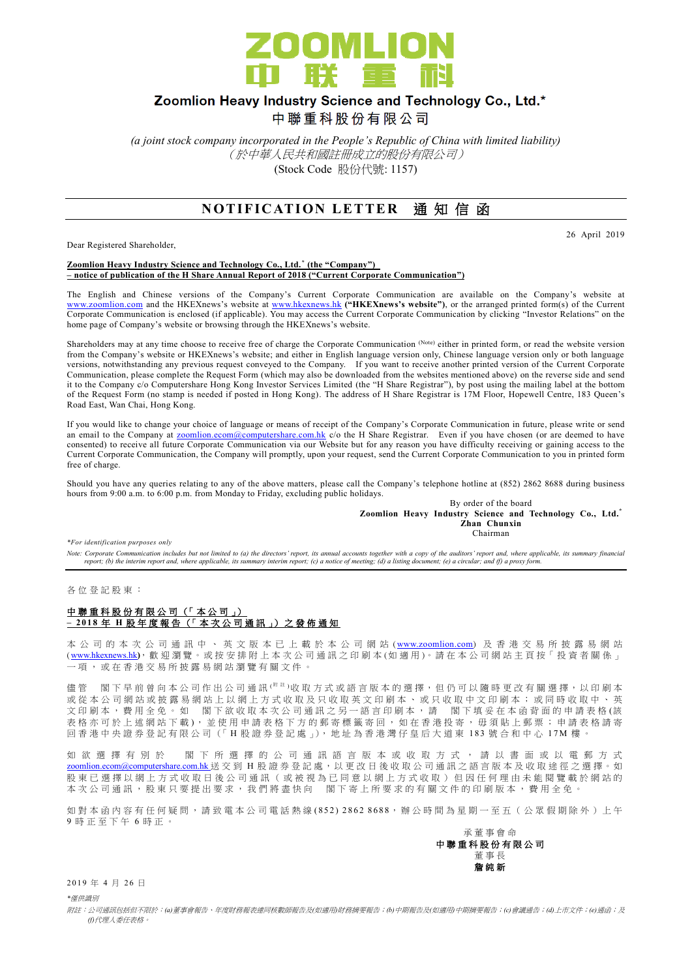

## Zoomlion Heavy Industry Science and Technology Co., Ltd.\*

中聯重科股份有限公司

*(a joint stock company incorporated in the People's Republic of China with limited liability)* (於中華人民共和國註冊成立的股份有限公司) (Stock Code 股份代號: 1157)

## **NOTIFICATION LETTER 通知信函**

Dear Registered Shareholder,

26 April 2019

**Zoomlion Heavy Industry Science and Technology Co., Ltd. \* (the "Company") – notice of publication of the H Share Annual Report of 2018 ("Current Corporate Communication")**

The English and Chinese versions of the Company's Current Corporate Communication are available on the Company's website at [www.zoomlion.com](http://www.zoomlion.com/) and the HKEXnews's website at [www.hkexnews.hk](http://www.hkexnews.hk/) **("HKEXnews's website")**, or the arranged printed form(s) of the Current Corporate Communication is enclosed (if applicable). You may access the Current Corporate Communication by clicking "Investor Relations" on the home page of Company's website or browsing through the HKEXnews's website.

Shareholders may at any time choose to receive free of charge the Corporate Communication (Note) either in printed form, or read the website version from the Company's website or HKEXnews's website; and either in English language version only, Chinese language version only or both language versions, notwithstanding any previous request conveyed to the Company. If you want to receive another printed version of the Current Corporate Communication, please complete the Request Form (which may also be downloaded from the websites mentioned above) on the reverse side and send it to the Company c/o Computershare Hong Kong Investor Services Limited (the "H Share Registrar"), by post using the mailing label at the bottom of the Request Form (no stamp is needed if posted in Hong Kong). The address of H Share Registrar is 17M Floor, Hopewell Centre, 183 Queen's Road East, Wan Chai, Hong Kong.

If you would like to change your choice of language or means of receipt of the Company's Corporate Communication in future, please write or send an email to the Company at **zoomlion.ecom@computershare.com.hk** c/o the H Share Registrar. Even if you have chosen (or are deemed to have consented) to receive all future Corporate Communication via our Website but for any reason you have difficulty receiving or gaining access to the Current Corporate Communication, the Company will promptly, upon your request, send the Current Corporate Communication to you in printed form free of charge.

Should you have any queries relating to any of the above matters, please call the Company's telephone hotline at (852) 2862 8688 during business hours from 9:00 a.m. to 6:00 p.m. from Monday to Friday, excluding public holidays.

> By order of the board **Zoomlion Heavy Industry Science and Technology Co., Ltd.\* Zhan Chunxin** Chairman

*\*For identification purposes only* 

Note: Corporate Communication includes but not limited to (a) the directors' report, its annual accounts together with a copy of the auditors' report and, where applicable, its summary financial<br>report; (b) the interim rep

各 位 登 記 股 東 :

### 中聯重科股份有限公司 (「本公司」) **– 201 8** 年 **H** 股 年 度 報 告 (「 本 次 公司通訊 」) 之 發 佈 通 知

本 公 司 的 本 次 公 司 通 訊 中 、 英 文 版 本 已 上 載 於 本 公 司 網 站 ([www.zoomlion.com](http://www.zoomlion.com/)) 及 香 港 交 易 所 披 露 易 網 站 ( [www.hkexnews.hk](http://www.hkexnews.hk/)**)**, 歡 迎 瀏 覽 。或 按 安 排 附 上 本 次 公 司 通 訊 之印刷本 (如適用 )。 請 在 本 公 司 網 站 主 頁 按「 投 資 者 關 係 」 一項, 或 在 香 港 交 易 所 披 露 易 網 站 瀏 覽 有 關 文 件 。

儘管 閣下早前曾向本公司作出公司通訊<sup>( 附註)</sup>收取方式或語言版本的選擇,但仍可以隨時更改有關選擇,以印刷本 或 從 本 公 司 網 站 或 披 露 易 網 站 上 以 網 上 方 式 收 取 及 只 收 取 英 文 印 刷 本 、 或 只 收 取 中 文 印 刷 本 ; 或 同 時 收 取 中 、 英 文印刷本,費用全免。如 閣下欲收取本次公司通訊之另一語言印刷本,請 閣下填妥在本函背面的申請表格(該 表格亦可於上述網站下載), 並使用申請表格下方的郵寄標籤寄回, 如在香港投寄, 毋須貼上郵票; 申請表格請寄 回 香 港 中 央 證 券 登 記 有 限 公 司 (「 H 股 證 券 登 記 處 」), 地 址 為 香 港 灣 仔 皇 后 大 道 東 183 號合和中心 17M 樓 。

如 欲 選 擇 有 別 於 閣 下 所 選 擇 的 公 司 通 訊 語 言 版 本 或 收 取 方 式 , 請 以 書 面 或 以 電 郵 方 式 [zoomlion.ecom@computershare.com.hk](mailto:zoomlion.ecom@computershare.com.hk) 送 交 到 H 股 證 券 登 記 處, 以 更 改 日 後 收 取 公 司 通 訊 之 語 言 版 本 及 收 取 途 徑 之 選 擇 。 如 股 東 已 選 擇 以 網 上 方 式 收 取 日 後 公 司 通 訊 ( 或 被 視 為 已 同 意 以 網 上 方 式 收 取 ) 但 因 任 何 理 由 未 能 閲 覽 載 於 網 站 的 本 次 公 司 通 訊 , 股 東 只 要 提 出 要 求 , 我 們 將 盡 快 向 <br>閣 下 寄 上 所 要 求 的 有 關 文 件 的 印 刷 版 本 , 費 用 全 免

如對本函內容有任何疑問,請致電本公司電話熱線(852) 2862 8688,辦公時間為星期一至五 (公眾假期除外)上午 9 時正至下午 6 時 正 。

承董事會命 中聯重科股份有限公司 董事長 詹 純 新

2019年4月26日

*\**僅供識別

附註:公司通訊包括但不限於:*(a)*董事會報告、年度財務報表連同核數師報告及*(*如適用*)*財務摘要報告;*(b)*中期報告及*(*如適用*)*中期摘要報告;*(c)*會議通告;*(d)*上市文件;*(e)*通函;及 *(f)*代理人委任表格。